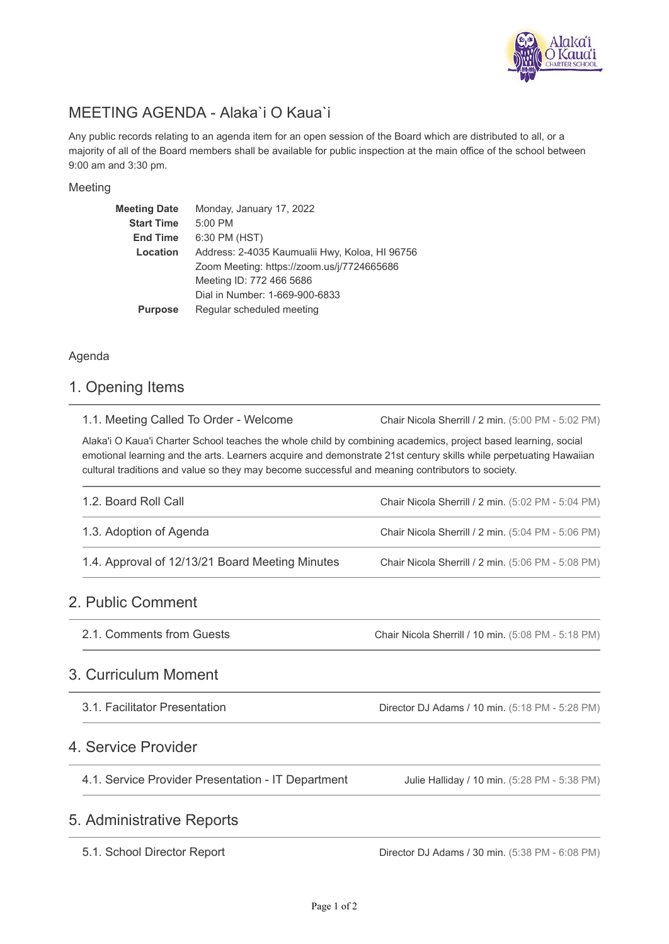

# MEETING AGENDA - Alaka`i O Kaua`i

Any public records relating to an agenda item for an open session of the Board which are distributed to all, or a majority of all of the Board members shall be available for public inspection at the main office of the school between 9:00 am and 3:30 pm.

#### Meeting

| <b>Meeting Date</b> | Monday, January 17, 2022                       |
|---------------------|------------------------------------------------|
| <b>Start Time</b>   | 5:00 PM                                        |
| <b>End Time</b>     | 6:30 PM (HST)                                  |
| Location            | Address: 2-4035 Kaumualii Hwy, Koloa, HI 96756 |
|                     | Zoom Meeting: https://zoom.us/j/7724665686     |
|                     | Meeting ID: 772 466 5686                       |
|                     | Dial in Number: 1-669-900-6833                 |
| <b>Purpose</b>      | Regular scheduled meeting                      |

#### Agenda

#### 1. Opening Items

| 1.1. Meeting Called To Order - Welcome |  |
|----------------------------------------|--|
|----------------------------------------|--|

Chair Nicola Sherrill / 2 min. (5:00 PM - 5:02 PM)

Alaka'i O Kaua'i Charter School teaches the whole child by combining academics, project based learning, social emotional learning and the arts. Learners acquire and demonstrate 21st century skills while perpetuating Hawaiian cultural traditions and value so they may become successful and meaning contributors to society.

| 1.2. Board Roll Call                            | Chair Nicola Sherrill / 2 min. (5:02 PM - 5:04 PM) |
|-------------------------------------------------|----------------------------------------------------|
| 1.3. Adoption of Agenda                         | Chair Nicola Sherrill / 2 min. (5:04 PM - 5:06 PM) |
| 1.4. Approval of 12/13/21 Board Meeting Minutes | Chair Nicola Sherrill / 2 min. (5:06 PM - 5:08 PM) |

### 2. Public Comment

Chair Nicola Sherrill / 10 min. (5:08 PM - 5:18 PM) 2.1. Comments from Guests

### 3. Curriculum Moment

3.1. Facilitator Presentation

Director DJ Adams / 10 min. (5:18 PM - 5:28 PM)

### 4. Service Provider

| 4.1. Service Provider Presentation - IT Department | Julie Halliday / 10 min. (5:28 PM - 5:38 PM) |
|----------------------------------------------------|----------------------------------------------|
|----------------------------------------------------|----------------------------------------------|

### 5. Administrative Reports

5.1. School Director Report

Director DJ Adams / 30 min. (5:38 PM - 6:08 PM)